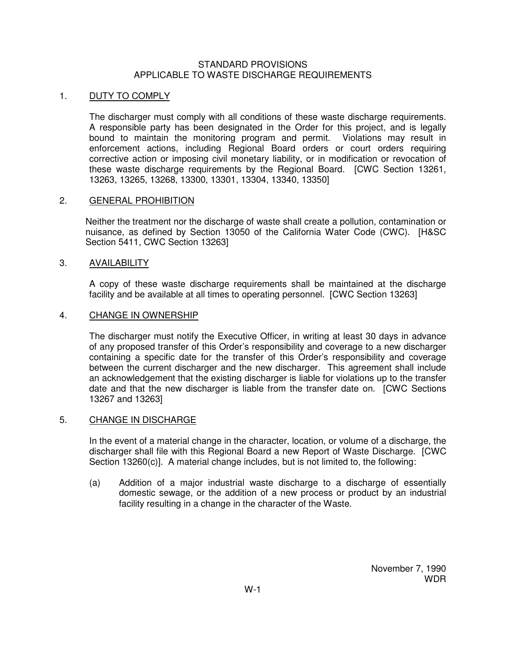#### STANDARD PROVISIONS APPLICABLE TO WASTE DISCHARGE REQUIREMENTS

# 1. DUTY TO COMPLY

The discharger must comply with all conditions of these waste discharge requirements. A responsible party has been designated in the Order for this project, and is legally bound to maintain the monitoring program and permit. Violations may result in enforcement actions, including Regional Board orders or court orders requiring corrective action or imposing civil monetary liability, or in modification or revocation of these waste discharge requirements by the Regional Board. [CWC Section 13261, 13263, 13265, 13268, 13300, 13301, 13304, 13340, 13350]

# 2. GENERAL PROHIBITION

Neither the treatment nor the discharge of waste shall create a pollution, contamination or nuisance, as defined by Section 13050 of the California Water Code (CWC). [H&SC Section 5411, CWC Section 13263]

# 3. AVAILABILITY

A copy of these waste discharge requirements shall be maintained at the discharge facility and be available at all times to operating personnel. [CWC Section 13263]

#### 4. CHANGE IN OWNERSHIP

The discharger must notify the Executive Officer, in writing at least 30 days in advance of any proposed transfer of this Order's responsibility and coverage to a new discharger containing a specific date for the transfer of this Order's responsibility and coverage between the current discharger and the new discharger. This agreement shall include an acknowledgement that the existing discharger is liable for violations up to the transfer date and that the new discharger is liable from the transfer date on. [CWC Sections 13267 and 13263]

#### 5. CHANGE IN DISCHARGE

In the event of a material change in the character, location, or volume of a discharge, the discharger shall file with this Regional Board a new Report of Waste Discharge. [CWC Section 13260(c)]. A material change includes, but is not limited to, the following:

(a) Addition of a major industrial waste discharge to a discharge of essentially domestic sewage, or the addition of a new process or product by an industrial facility resulting in a change in the character of the Waste.

> November 7, 1990 WDR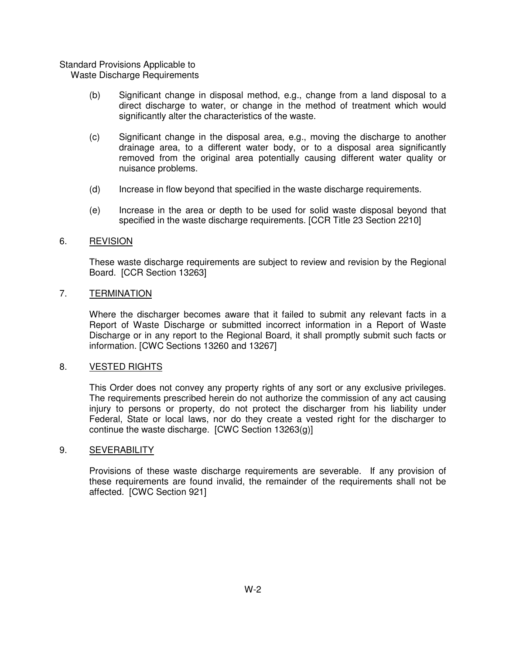# Standard Provisions Applicable to

Waste Discharge Requirements

- (b) Significant change in disposal method, e.g., change from a land disposal to a direct discharge to water, or change in the method of treatment which would significantly alter the characteristics of the waste.
- (c) Significant change in the disposal area, e.g., moving the discharge to another drainage area, to a different water body, or to a disposal area significantly removed from the original area potentially causing different water quality or nuisance problems.
- (d) Increase in flow beyond that specified in the waste discharge requirements.
- (e) Increase in the area or depth to be used for solid waste disposal beyond that specified in the waste discharge requirements. [CCR Title 23 Section 2210]

# 6. REVISION

These waste discharge requirements are subject to review and revision by the Regional Board. [CCR Section 13263]

# 7. TERMINATION

Where the discharger becomes aware that it failed to submit any relevant facts in a Report of Waste Discharge or submitted incorrect information in a Report of Waste Discharge or in any report to the Regional Board, it shall promptly submit such facts or information. [CWC Sections 13260 and 13267]

#### 8. VESTED RIGHTS

This Order does not convey any property rights of any sort or any exclusive privileges. The requirements prescribed herein do not authorize the commission of any act causing injury to persons or property, do not protect the discharger from his liability under Federal, State or local laws, nor do they create a vested right for the discharger to continue the waste discharge. [CWC Section 13263(g)]

#### 9. SEVERABILITY

Provisions of these waste discharge requirements are severable. If any provision of these requirements are found invalid, the remainder of the requirements shall not be affected. [CWC Section 921]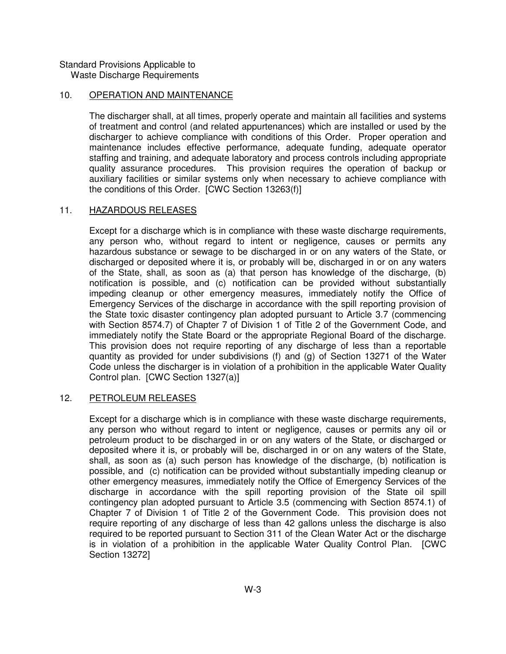Standard Provisions Applicable to Waste Discharge Requirements

# 10. OPERATION AND MAINTENANCE

The discharger shall, at all times, properly operate and maintain all facilities and systems of treatment and control (and related appurtenances) which are installed or used by the discharger to achieve compliance with conditions of this Order. Proper operation and maintenance includes effective performance, adequate funding, adequate operator staffing and training, and adequate laboratory and process controls including appropriate quality assurance procedures. This provision requires the operation of backup or auxiliary facilities or similar systems only when necessary to achieve compliance with the conditions of this Order. [CWC Section 13263(f)]

# 11. HAZARDOUS RELEASES

Except for a discharge which is in compliance with these waste discharge requirements, any person who, without regard to intent or negligence, causes or permits any hazardous substance or sewage to be discharged in or on any waters of the State, or discharged or deposited where it is, or probably will be, discharged in or on any waters of the State, shall, as soon as (a) that person has knowledge of the discharge, (b) notification is possible, and (c) notification can be provided without substantially impeding cleanup or other emergency measures, immediately notify the Office of Emergency Services of the discharge in accordance with the spill reporting provision of the State toxic disaster contingency plan adopted pursuant to Article 3.7 (commencing with Section 8574.7) of Chapter 7 of Division 1 of Title 2 of the Government Code, and immediately notify the State Board or the appropriate Regional Board of the discharge. This provision does not require reporting of any discharge of less than a reportable quantity as provided for under subdivisions (f) and (g) of Section 13271 of the Water Code unless the discharger is in violation of a prohibition in the applicable Water Quality Control plan. [CWC Section 1327(a)]

#### 12. PETROLEUM RELEASES

Except for a discharge which is in compliance with these waste discharge requirements, any person who without regard to intent or negligence, causes or permits any oil or petroleum product to be discharged in or on any waters of the State, or discharged or deposited where it is, or probably will be, discharged in or on any waters of the State, shall, as soon as (a) such person has knowledge of the discharge, (b) notification is possible, and (c) notification can be provided without substantially impeding cleanup or other emergency measures, immediately notify the Office of Emergency Services of the discharge in accordance with the spill reporting provision of the State oil spill contingency plan adopted pursuant to Article 3.5 (commencing with Section 8574.1) of Chapter 7 of Division 1 of Title 2 of the Government Code. This provision does not require reporting of any discharge of less than 42 gallons unless the discharge is also required to be reported pursuant to Section 311 of the Clean Water Act or the discharge is in violation of a prohibition in the applicable Water Quality Control Plan. [CWC Section 13272]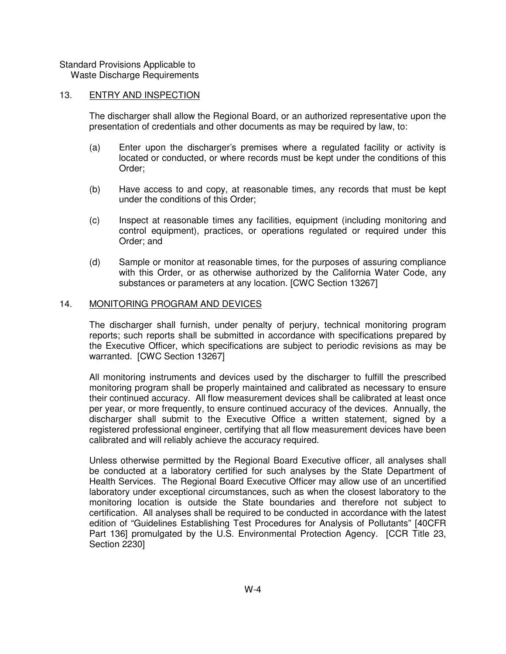Standard Provisions Applicable to

Waste Discharge Requirements

# 13. ENTRY AND INSPECTION

The discharger shall allow the Regional Board, or an authorized representative upon the presentation of credentials and other documents as may be required by law, to:

- (a) Enter upon the discharger's premises where a regulated facility or activity is located or conducted, or where records must be kept under the conditions of this Order;
- (b) Have access to and copy, at reasonable times, any records that must be kept under the conditions of this Order;
- (c) Inspect at reasonable times any facilities, equipment (including monitoring and control equipment), practices, or operations regulated or required under this Order; and
- (d) Sample or monitor at reasonable times, for the purposes of assuring compliance with this Order, or as otherwise authorized by the California Water Code, any substances or parameters at any location. [CWC Section 13267]

# 14. MONITORING PROGRAM AND DEVICES

The discharger shall furnish, under penalty of perjury, technical monitoring program reports; such reports shall be submitted in accordance with specifications prepared by the Executive Officer, which specifications are subject to periodic revisions as may be warranted. [CWC Section 13267]

All monitoring instruments and devices used by the discharger to fulfill the prescribed monitoring program shall be properly maintained and calibrated as necessary to ensure their continued accuracy. All flow measurement devices shall be calibrated at least once per year, or more frequently, to ensure continued accuracy of the devices. Annually, the discharger shall submit to the Executive Office a written statement, signed by a registered professional engineer, certifying that all flow measurement devices have been calibrated and will reliably achieve the accuracy required.

Unless otherwise permitted by the Regional Board Executive officer, all analyses shall be conducted at a laboratory certified for such analyses by the State Department of Health Services. The Regional Board Executive Officer may allow use of an uncertified laboratory under exceptional circumstances, such as when the closest laboratory to the monitoring location is outside the State boundaries and therefore not subject to certification. All analyses shall be required to be conducted in accordance with the latest edition of "Guidelines Establishing Test Procedures for Analysis of Pollutants" [40CFR Part 136] promulgated by the U.S. Environmental Protection Agency. [CCR Title 23, Section 2230]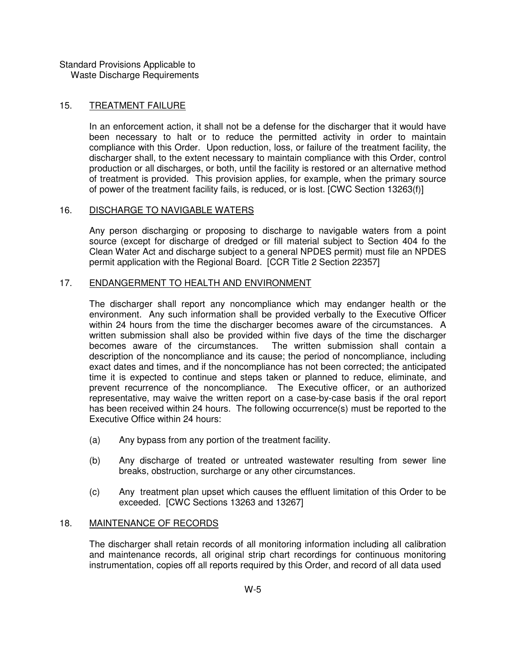Standard Provisions Applicable to Waste Discharge Requirements

# 15. TREATMENT FAILURE

In an enforcement action, it shall not be a defense for the discharger that it would have been necessary to halt or to reduce the permitted activity in order to maintain compliance with this Order. Upon reduction, loss, or failure of the treatment facility, the discharger shall, to the extent necessary to maintain compliance with this Order, control production or all discharges, or both, until the facility is restored or an alternative method of treatment is provided. This provision applies, for example, when the primary source of power of the treatment facility fails, is reduced, or is lost. [CWC Section 13263(f)]

#### 16. DISCHARGE TO NAVIGABLE WATERS

Any person discharging or proposing to discharge to navigable waters from a point source (except for discharge of dredged or fill material subject to Section 404 fo the Clean Water Act and discharge subject to a general NPDES permit) must file an NPDES permit application with the Regional Board. [CCR Title 2 Section 22357]

# 17. ENDANGERMENT TO HEALTH AND ENVIRONMENT

The discharger shall report any noncompliance which may endanger health or the environment. Any such information shall be provided verbally to the Executive Officer within 24 hours from the time the discharger becomes aware of the circumstances. A written submission shall also be provided within five days of the time the discharger becomes aware of the circumstances. The written submission shall contain a description of the noncompliance and its cause; the period of noncompliance, including exact dates and times, and if the noncompliance has not been corrected; the anticipated time it is expected to continue and steps taken or planned to reduce, eliminate, and prevent recurrence of the noncompliance. The Executive officer, or an authorized representative, may waive the written report on a case-by-case basis if the oral report has been received within 24 hours. The following occurrence(s) must be reported to the Executive Office within 24 hours:

- (a) Any bypass from any portion of the treatment facility.
- (b) Any discharge of treated or untreated wastewater resulting from sewer line breaks, obstruction, surcharge or any other circumstances.
- (c) Any treatment plan upset which causes the effluent limitation of this Order to be exceeded. [CWC Sections 13263 and 13267]

#### 18. MAINTENANCE OF RECORDS

The discharger shall retain records of all monitoring information including all calibration and maintenance records, all original strip chart recordings for continuous monitoring instrumentation, copies off all reports required by this Order, and record of all data used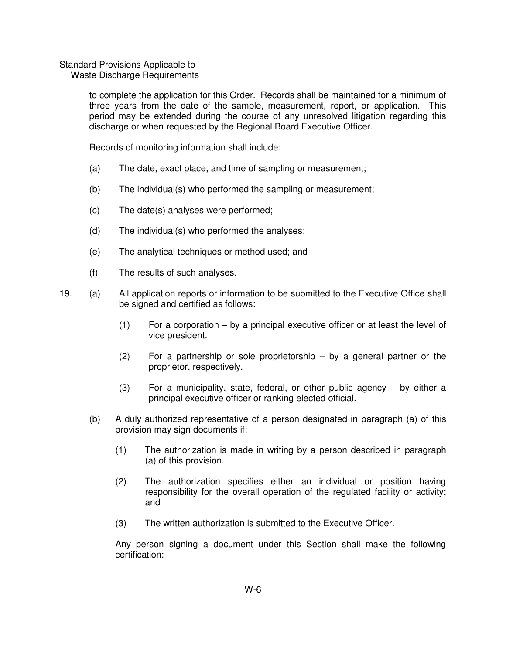# Standard Provisions Applicable to

Waste Discharge Requirements

to complete the application for this Order. Records shall be maintained for a minimum of three years from the date of the sample, measurement, report, or application. This period may be extended during the course of any unresolved litigation regarding this discharge or when requested by the Regional Board Executive Officer.

Records of monitoring information shall include:

- (a) The date, exact place, and time of sampling or measurement;
- (b) The individual(s) who performed the sampling or measurement;
- (c) The date(s) analyses were performed;
- (d) The individual(s) who performed the analyses;
- (e) The analytical techniques or method used; and
- (f) The results of such analyses.
- 19. (a) All application reports or information to be submitted to the Executive Office shall be signed and certified as follows:
	- (1) For a corporation by a principal executive officer or at least the level of vice president.
	- (2) For a partnership or sole proprietorship by a general partner or the proprietor, respectively.
	- (3) For a municipality, state, federal, or other public agency  $-$  by either a principal executive officer or ranking elected official.
	- (b) A duly authorized representative of a person designated in paragraph (a) of this provision may sign documents if:
		- (1) The authorization is made in writing by a person described in paragraph (a) of this provision.
		- (2) The authorization specifies either an individual or position having responsibility for the overall operation of the regulated facility or activity; and
		- (3) The written authorization is submitted to the Executive Officer.

Any person signing a document under this Section shall make the following certification: